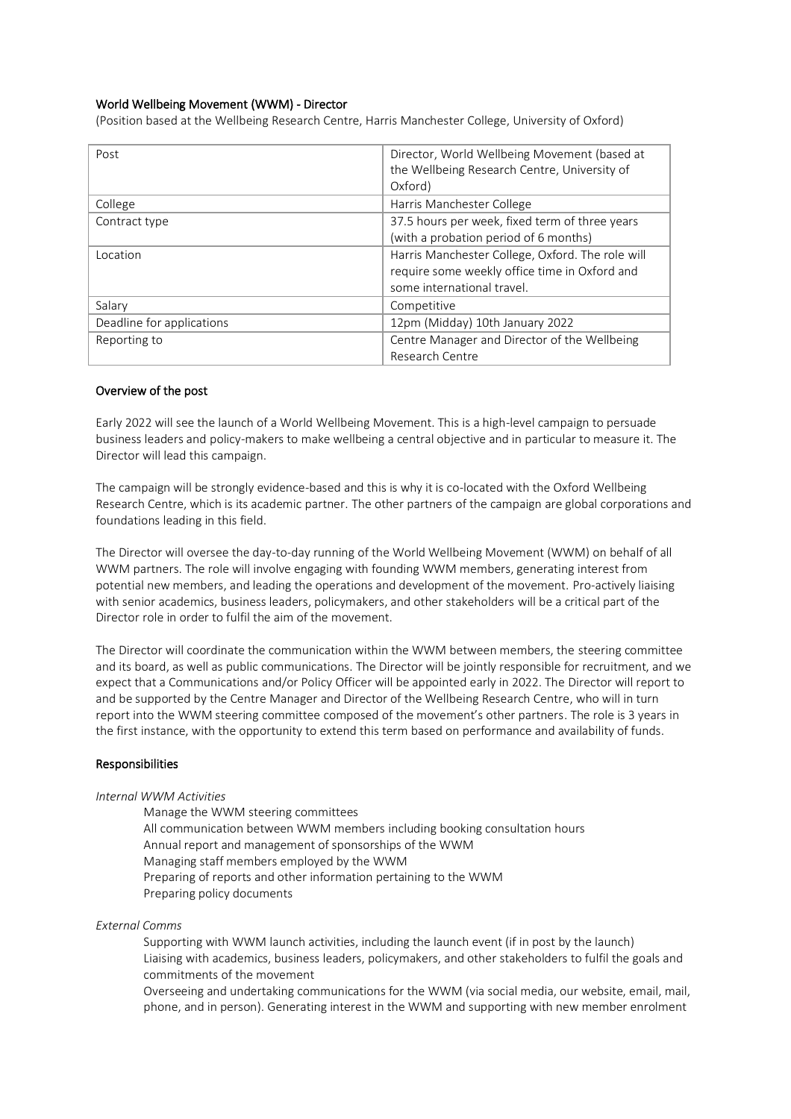# World Wellbeing Movement (WWM) - Director

(Position based at the Wellbeing Research Centre, Harris Manchester College, University of Oxford)

| Post                      | Director, World Wellbeing Movement (based at<br>the Wellbeing Research Centre, University of                                    |
|---------------------------|---------------------------------------------------------------------------------------------------------------------------------|
|                           | Oxford)                                                                                                                         |
| College                   | Harris Manchester College                                                                                                       |
| Contract type             | 37.5 hours per week, fixed term of three years<br>(with a probation period of 6 months)                                         |
| Location                  | Harris Manchester College, Oxford. The role will<br>require some weekly office time in Oxford and<br>some international travel. |
| Salary                    | Competitive                                                                                                                     |
| Deadline for applications | 12pm (Midday) 10th January 2022                                                                                                 |
| Reporting to              | Centre Manager and Director of the Wellbeing<br>Research Centre                                                                 |

## Overview of the post

Early 2022 will see the launch of a World Wellbeing Movement. This is a high-level campaign to persuade business leaders and policy-makers to make wellbeing a central objective and in particular to measure it. The Director will lead this campaign.

The campaign will be strongly evidence-based and this is why it is co-located with the Oxford Wellbeing Research Centre, which is its academic partner. The other partners of the campaign are global corporations and foundations leading in this field.

The Director will oversee the day-to-day running of the World Wellbeing Movement (WWM) on behalf of all WWM partners. The role will involve engaging with founding WWM members, generating interest from potential new members, and leading the operations and development of the movement. Pro-actively liaising with senior academics, business leaders, policymakers, and other stakeholders will be a critical part of the Director role in order to fulfil the aim of the movement.

The Director will coordinate the communication within the WWM between members, the steering committee and its board, as well as public communications. The Director will be jointly responsible for recruitment, and we expect that a Communications and/or Policy Officer will be appointed early in 2022. The Director will report to and be supported by the Centre Manager and Director of the Wellbeing Research Centre, who will in turn report into the WWM steering committee composed of the movement's other partners. The role is 3 years in the first instance, with the opportunity to extend this term based on performance and availability of funds.

#### Responsibilities

#### *Internal WWM Activities*

Manage the WWM steering committees All communication between WWM members including booking consultation hours Annual report and management of sponsorships of the WWM Managing staff members employed by the WWM Preparing of reports and other information pertaining to the WWM Preparing policy documents

### *External Comms*

Supporting with WWM launch activities, including the launch event (if in post by the launch) Liaising with academics, business leaders, policymakers, and other stakeholders to fulfil the goals and commitments of the movement

Overseeing and undertaking communications for the WWM (via social media, our website, email, mail, phone, and in person). Generating interest in the WWM and supporting with new member enrolment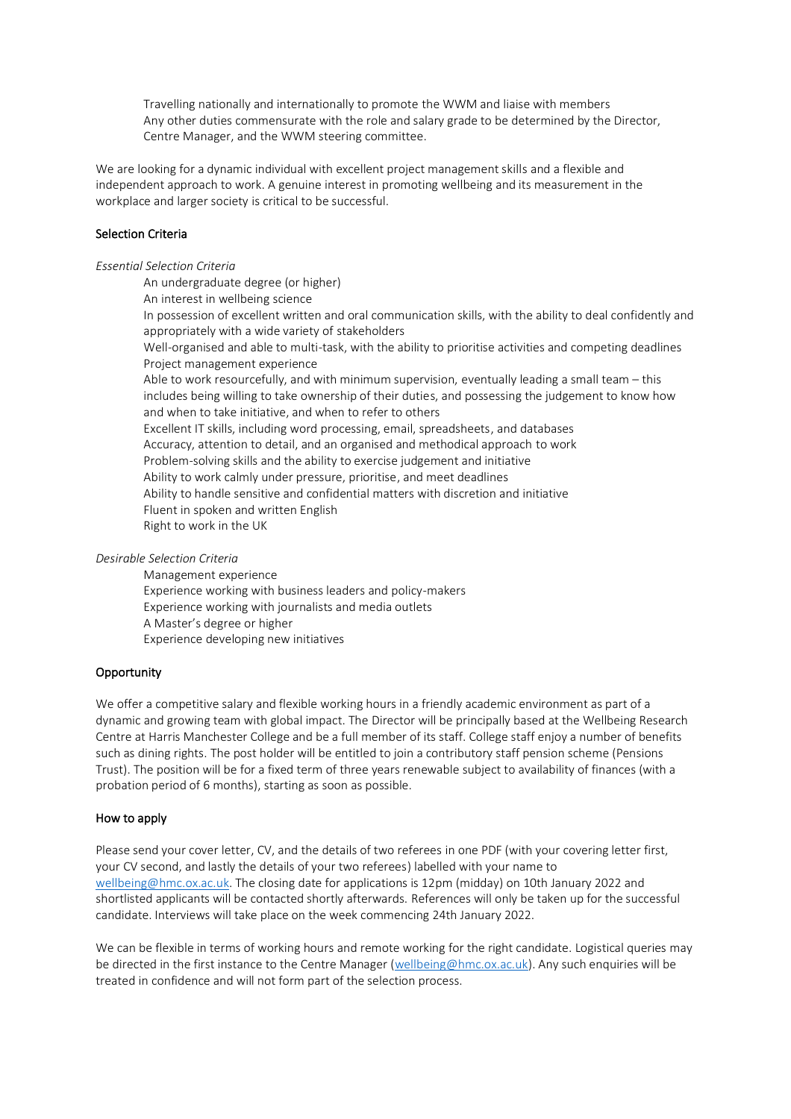Travelling nationally and internationally to promote the WWM and liaise with members Any other duties commensurate with the role and salary grade to be determined by the Director, Centre Manager, and the WWM steering committee.

We are looking for a dynamic individual with excellent project management skills and a flexible and independent approach to work. A genuine interest in promoting wellbeing and its measurement in the workplace and larger society is critical to be successful.

# Selection Criteria

### *Essential Selection Criteria*

An undergraduate degree (or higher) An interest in wellbeing science In possession of excellent written and oral communication skills, with the ability to deal confidently and appropriately with a wide variety of stakeholders Well-organised and able to multi-task, with the ability to prioritise activities and competing deadlines Project management experience Able to work resourcefully, and with minimum supervision, eventually leading a small team – this includes being willing to take ownership of their duties, and possessing the judgement to know how and when to take initiative, and when to refer to others Excellent IT skills, including word processing, email, spreadsheets, and databases Accuracy, attention to detail, and an organised and methodical approach to work Problem-solving skills and the ability to exercise judgement and initiative Ability to work calmly under pressure, prioritise, and meet deadlines Ability to handle sensitive and confidential matters with discretion and initiative Fluent in spoken and written English Right to work in the UK

*Desirable Selection Criteria*

Management experience Experience working with business leaders and policy-makers Experience working with journalists and media outlets A Master's degree or higher Experience developing new initiatives

## **Opportunity**

We offer a competitive salary and flexible working hours in a friendly academic environment as part of a dynamic and growing team with global impact. The Director will be principally based at the Wellbeing Research Centre at Harris Manchester College and be a full member of its staff. College staff enjoy a number of benefits such as dining rights. The post holder will be entitled to join a contributory staff pension scheme (Pensions Trust). The position will be for a fixed term of three years renewable subject to availability of finances (with a probation period of 6 months), starting as soon as possible.

#### How to apply

Please send your cover letter, CV, and the details of two referees in one PDF (with your covering letter first, your CV second, and lastly the details of your two referees) labelled with your name to [wellbeing@hmc.ox.ac.uk.](mailto:wellbeing@hmc.ox.ac.uk) The closing date for applications is 12pm (midday) on 10th January 2022 and shortlisted applicants will be contacted shortly afterwards. References will only be taken up for the successful candidate. Interviews will take place on the week commencing 24th January 2022.

We can be flexible in terms of working hours and remote working for the right candidate. Logistical queries may be directed in the first instance to the Centre Manager [\(wellbeing@hmc.ox.ac.uk\)](mailto:wellbeing@hmc.ox.ac.uk). Any such enquiries will be treated in confidence and will not form part of the selection process.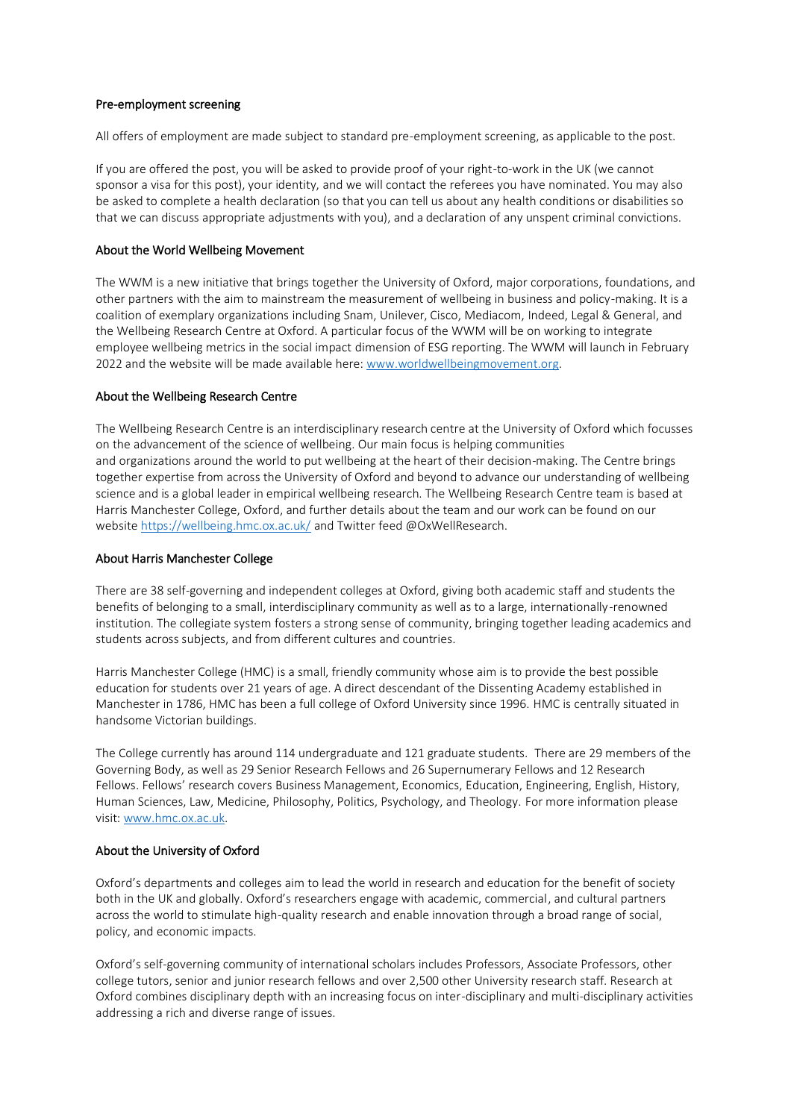## Pre-employment screening

All offers of employment are made subject to standard pre-employment screening, as applicable to the post.

If you are offered the post, you will be asked to provide proof of your right-to-work in the UK (we cannot sponsor a visa for this post), your identity, and we will contact the referees you have nominated. You may also be asked to complete a health declaration (so that you can tell us about any health conditions or disabilities so that we can discuss appropriate adjustments with you), and a declaration of any unspent criminal convictions.

### About the World Wellbeing Movement

The WWM is a new initiative that brings together the University of Oxford, major corporations, foundations, and other partners with the aim to mainstream the measurement of wellbeing in business and policy-making. It is a coalition of exemplary organizations including Snam, Unilever, Cisco, Mediacom, Indeed, Legal & General, and the Wellbeing Research Centre at Oxford. A particular focus of the WWM will be on working to integrate employee wellbeing metrics in the social impact dimension of ESG reporting. The WWM will launch in February 2022 and the website will be made available here[: www.worldwellbeingmovement.org.](http://www.worldwellbeingmovement.org/)

### About the Wellbeing Research Centre

The Wellbeing Research Centre is an interdisciplinary research centre at the University of Oxford which focusses on the advancement of the science of wellbeing. Our main focus is helping communities and organizations around the world to put wellbeing at the heart of their decision-making. The Centre brings together expertise from across the University of Oxford and beyond to advance our understanding of wellbeing science and is a global leader in empirical wellbeing research. The Wellbeing Research Centre team is based at Harris Manchester College, Oxford, and further details about the team and our work can be found on our websit[e https://wellbeing.hmc.ox.ac.uk/](https://wellbeing.hmc.ox.ac.uk/) and Twitter feed @OxWellResearch.

#### About Harris Manchester College

There are 38 self-governing and independent colleges at Oxford, giving both academic staff and students the benefits of belonging to a small, interdisciplinary community as well as to a large, internationally-renowned institution. The collegiate system fosters a strong sense of community, bringing together leading academics and students across subjects, and from different cultures and countries.

Harris Manchester College (HMC) is a small, friendly community whose aim is to provide the best possible education for students over 21 years of age. A direct descendant of the Dissenting Academy established in Manchester in 1786, HMC has been a full college of Oxford University since 1996. HMC is centrally situated in handsome Victorian buildings.

The College currently has around 114 undergraduate and 121 graduate students. There are 29 members of the Governing Body, as well as 29 Senior Research Fellows and 26 Supernumerary Fellows and 12 Research Fellows. Fellows' research covers Business Management, Economics, Education, Engineering, English, History, Human Sciences, Law, Medicine, Philosophy, Politics, Psychology, and Theology. For more information please visit: [www.hmc.ox.ac.uk.](http://www.hmc.ox.ac.uk/)

#### About the University of Oxford

Oxford's departments and colleges aim to lead the world in research and education for the benefit of society both in the UK and globally. Oxford's researchers engage with academic, commercial, and cultural partners across the world to stimulate high-quality research and enable innovation through a broad range of social, policy, and economic impacts.

Oxford's self-governing community of international scholars includes Professors, Associate Professors, other college tutors, senior and junior research fellows and over 2,500 other University research staff. Research at Oxford combines disciplinary depth with an increasing focus on inter-disciplinary and multi-disciplinary activities addressing a rich and diverse range of issues.